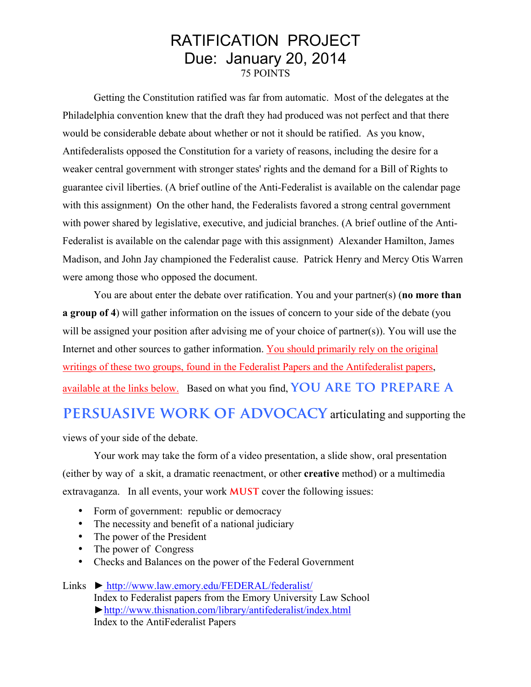## RATIFICATION PROJECT Due: January 20, 2014 75 POINTS

Getting the Constitution ratified was far from automatic. Most of the delegates at the Philadelphia convention knew that the draft they had produced was not perfect and that there would be considerable debate about whether or not it should be ratified. As you know, Antifederalists opposed the Constitution for a variety of reasons, including the desire for a weaker central government with stronger states' rights and the demand for a Bill of Rights to guarantee civil liberties. (A brief outline of the Anti-Federalist is available on the calendar page with this assignment) On the other hand, the Federalists favored a strong central government with power shared by legislative, executive, and judicial branches. (A brief outline of the Anti-Federalist is available on the calendar page with this assignment) Alexander Hamilton, James Madison, and John Jay championed the Federalist cause. Patrick Henry and Mercy Otis Warren were among those who opposed the document.

You are about enter the debate over ratification. You and your partner(s) (**no more than a group of 4**) will gather information on the issues of concern to your side of the debate (you will be assigned your position after advising me of your choice of partner(s)). You will use the Internet and other sources to gather information. You should primarily rely on the original writings of these two groups, found in the Federalist Papers and the Antifederalist papers, available at the links below. Based on what you find, **YOU ARE TO PREPARE A** 

## **PERSUASIVE WORK OF ADVOCACY** articulating and supporting the

views of your side of the debate.

Your work may take the form of a video presentation, a slide show, oral presentation (either by way of a skit, a dramatic reenactment, or other **creative** method) or a multimedia extravaganza. In all events, your work **MUST** cover the following issues:

- Form of government: republic or democracy
- The necessity and benefit of a national judiciary
- The power of the President
- The power of Congress
- Checks and Balances on the power of the Federal Government
- Links ► http://www.law.emory.edu/FEDERAL/federalist/ Index to Federalist papers from the Emory University Law School ►http://www.thisnation.com/library/antifederalist/index.html Index to the AntiFederalist Papers